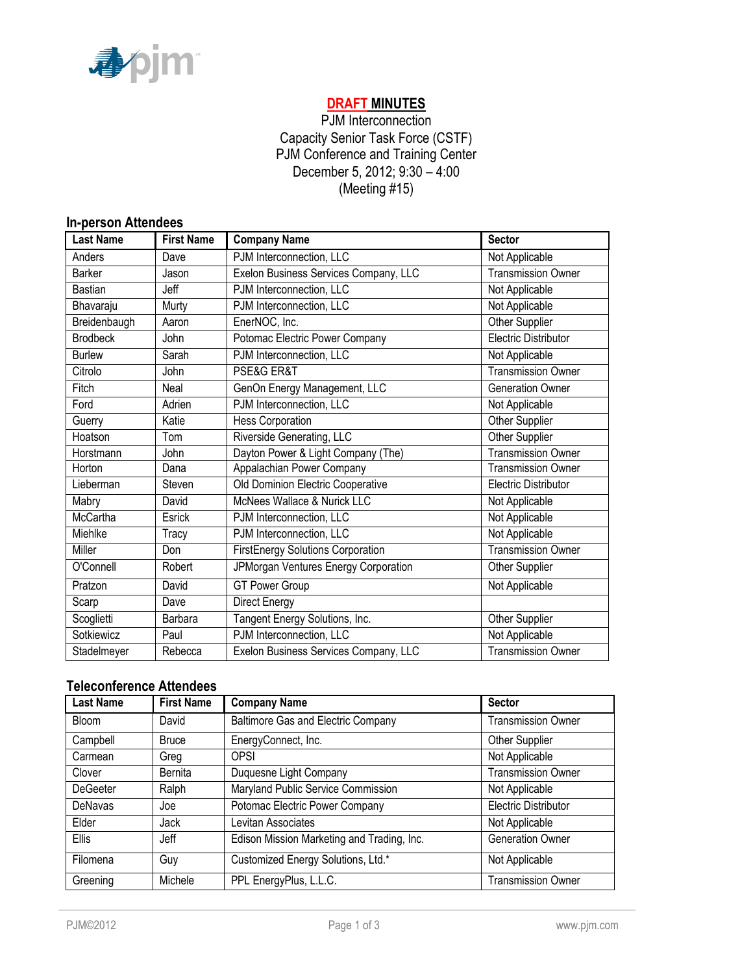

# **DRAFT MINUTES**

PJM Interconnection Capacity Senior Task Force (CSTF) PJM Conference and Training Center December 5, 2012; 9:30 – 4:00 (Meeting #15)

#### **In-person Attendees**

| <b>Last Name</b> | <b>First Name</b> | <b>Company Name</b>                   | <b>Sector</b>               |
|------------------|-------------------|---------------------------------------|-----------------------------|
| Anders           | Dave              | PJM Interconnection, LLC              | Not Applicable              |
| <b>Barker</b>    | Jason             | Exelon Business Services Company, LLC | Transmission Owner          |
| <b>Bastian</b>   | Jeff              | PJM Interconnection, LLC              | Not Applicable              |
| Bhavaraju        | Murty             | PJM Interconnection, LLC              | Not Applicable              |
| Breidenbaugh     | Aaron             | EnerNOC, Inc.                         | Other Supplier              |
| <b>Brodbeck</b>  | John              | Potomac Electric Power Company        | <b>Electric Distributor</b> |
| <b>Burlew</b>    | Sarah             | PJM Interconnection, LLC              | Not Applicable              |
| Citrolo          | John              | PSE&G ER&T                            | <b>Transmission Owner</b>   |
| Fitch            | Neal              | GenOn Energy Management, LLC          | <b>Generation Owner</b>     |
| Ford             | Adrien            | PJM Interconnection, LLC              | Not Applicable              |
| Guerry           | Katie             | <b>Hess Corporation</b>               | Other Supplier              |
| Hoatson          | Tom               | Riverside Generating, LLC             | Other Supplier              |
| Horstmann        | John              | Dayton Power & Light Company (The)    | <b>Transmission Owner</b>   |
| Horton           | Dana              | Appalachian Power Company             | <b>Transmission Owner</b>   |
| Lieberman        | Steven            | Old Dominion Electric Cooperative     | Electric Distributor        |
| Mabry            | David             | McNees Wallace & Nurick LLC           | Not Applicable              |
| <b>McCartha</b>  | Esrick            | PJM Interconnection, LLC              | Not Applicable              |
| Miehlke          | Tracy             | PJM Interconnection, LLC              | Not Applicable              |
| Miller           | Don               | FirstEnergy Solutions Corporation     | <b>Transmission Owner</b>   |
| O'Connell        | Robert            | JPMorgan Ventures Energy Corporation  | Other Supplier              |
| Pratzon          | David             | <b>GT Power Group</b>                 | Not Applicable              |
| Scarp            | Dave              | Direct Energy                         |                             |
| Scoglietti       | Barbara           | Tangent Energy Solutions, Inc.        | Other Supplier              |
| Sotkiewicz       | Paul              | PJM Interconnection, LLC              | Not Applicable              |
| Stadelmeyer      | Rebecca           | Exelon Business Services Company, LLC | <b>Transmission Owner</b>   |

## **Teleconference Attendees**

| <b>Last Name</b> | <b>First Name</b> | <b>Company Name</b>                        | <b>Sector</b>             |
|------------------|-------------------|--------------------------------------------|---------------------------|
| <b>Bloom</b>     | David             | Baltimore Gas and Electric Company         | <b>Transmission Owner</b> |
| Campbell         | <b>Bruce</b>      | EnergyConnect, Inc.                        | <b>Other Supplier</b>     |
| Carmean          | Greg              | OPSI                                       | Not Applicable            |
| Clover           | Bernita           | Duquesne Light Company                     | <b>Transmission Owner</b> |
| <b>DeGeeter</b>  | Ralph             | Maryland Public Service Commission         | Not Applicable            |
| DeNavas          | Joe               | Potomac Electric Power Company             | Electric Distributor      |
| Elder            | Jack              | Levitan Associates                         | Not Applicable            |
| <b>Ellis</b>     | Jeff              | Edison Mission Marketing and Trading, Inc. | <b>Generation Owner</b>   |
| Filomena         | Guy               | Customized Energy Solutions, Ltd.*         | Not Applicable            |
| Greening         | Michele           | PPL EnergyPlus, L.L.C.                     | <b>Transmission Owner</b> |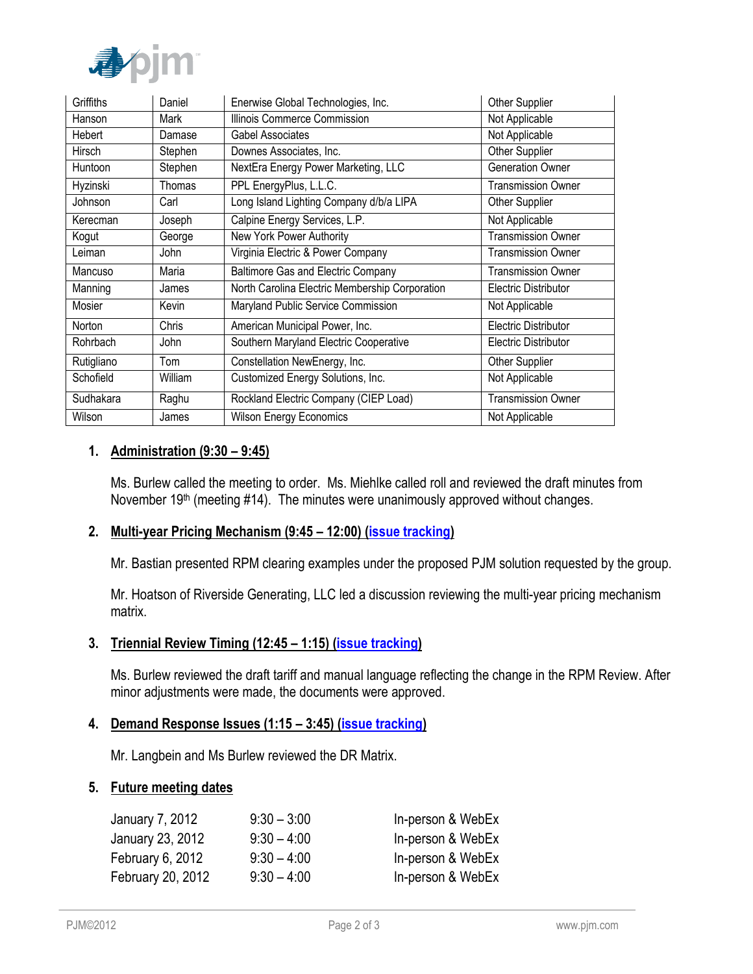

| Griffiths  | Daniel  | Enerwise Global Technologies, Inc.             | <b>Other Supplier</b>     |
|------------|---------|------------------------------------------------|---------------------------|
| Hanson     | Mark    | Illinois Commerce Commission                   | Not Applicable            |
| Hebert     | Damase  | Gabel Associates                               | Not Applicable            |
| Hirsch     | Stephen | Downes Associates, Inc.                        | Other Supplier            |
| Huntoon    | Stephen | NextEra Energy Power Marketing, LLC            | <b>Generation Owner</b>   |
| Hyzinski   | Thomas  | PPL EnergyPlus, L.L.C.                         | <b>Transmission Owner</b> |
| Johnson    | Carl    | Long Island Lighting Company d/b/a LIPA        | Other Supplier            |
| Kerecman   | Joseph  | Calpine Energy Services, L.P.                  | Not Applicable            |
| Kogut      | George  | New York Power Authority                       | <b>Transmission Owner</b> |
| Leiman     | John    | Virginia Electric & Power Company              | <b>Transmission Owner</b> |
| Mancuso    | Maria   | Baltimore Gas and Electric Company             | <b>Transmission Owner</b> |
| Manning    | James   | North Carolina Electric Membership Corporation | Electric Distributor      |
| Mosier     | Kevin   | Maryland Public Service Commission             | Not Applicable            |
| Norton     | Chris   | American Municipal Power, Inc.                 | Electric Distributor      |
| Rohrbach   | John    | Southern Maryland Electric Cooperative         | Electric Distributor      |
| Rutigliano | Tom     | Constellation NewEnergy, Inc.                  | Other Supplier            |
| Schofield  | William | Customized Energy Solutions, Inc.              | Not Applicable            |
| Sudhakara  | Raghu   | Rockland Electric Company (CIEP Load)          | <b>Transmission Owner</b> |
| Wilson     | James   | <b>Wilson Energy Economics</b>                 | Not Applicable            |

### **1. Administration (9:30 – 9:45)**

Ms. Burlew called the meeting to order. Ms. Miehlke called roll and reviewed the draft minutes from November  $19<sup>th</sup>$  (meeting #14). The minutes were unanimously approved without changes.

### **2. Multi-year Pricing Mechanism (9:45 – 12:00) [\(issue tracking\)](http://www.pjm.com/committees-and-groups/issue-tracking/issue-tracking-details.aspx?Issue=%7bB709F188-450F-4A06-A5EB-BD61B601C9EF%7d)**

Mr. Bastian presented RPM clearing examples under the proposed PJM solution requested by the group.

Mr. Hoatson of Riverside Generating, LLC led a discussion reviewing the multi-year pricing mechanism matrix.

## **3. Triennial Review Timing (12:45 – 1:15) [\(issue tracking\)](http://www.pjm.com/committees-and-groups/issue-tracking/issue-tracking-details.aspx?Issue=%7b46B1B663-44CF-4541-9403-631413A347B5%7d)**

Ms. Burlew reviewed the draft tariff and manual language reflecting the change in the RPM Review. After minor adjustments were made, the documents were approved.

### **4. Demand Response Issues (1:15 – 3:45) [\(issue tracking\)](http://www.pjm.com/committees-and-groups/issue-tracking/issue-tracking-details.aspx?Issue=%7b4777F504-03E3-4293-AF53-9AE91A2AB0A6%7d)**

Mr. Langbein and Ms Burlew reviewed the DR Matrix.

### **5. Future meeting dates**

| January 7, 2012   | $9:30 - 3:00$ | In-person & WebEx |
|-------------------|---------------|-------------------|
| January 23, 2012  | $9:30 - 4:00$ | In-person & WebEx |
| February 6, 2012  | $9:30 - 4:00$ | In-person & WebEx |
| February 20, 2012 | $9:30 - 4:00$ | In-person & WebEx |